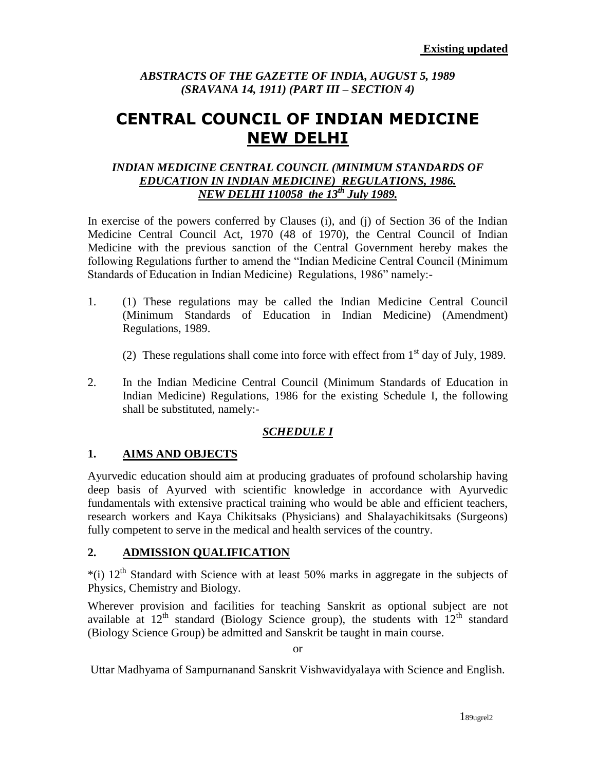# *ABSTRACTS OF THE GAZETTE OF INDIA, AUGUST 5, 1989 (SRAVANA 14, 1911) (PART III – SECTION 4)*

# **CENTRAL COUNCIL OF INDIAN MEDICINE NEW DELHI**

#### *INDIAN MEDICINE CENTRAL COUNCIL (MINIMUM STANDARDS OF EDUCATION IN INDIAN MEDICINE) REGULATIONS, 1986. NEW DELHI 110058 the 13th July 1989.*

In exercise of the powers conferred by Clauses (i), and (j) of Section 36 of the Indian Medicine Central Council Act, 1970 (48 of 1970), the Central Council of Indian Medicine with the previous sanction of the Central Government hereby makes the following Regulations further to amend the "Indian Medicine Central Council (Minimum Standards of Education in Indian Medicine) Regulations, 1986" namely:-

- 1. (1) These regulations may be called the Indian Medicine Central Council (Minimum Standards of Education in Indian Medicine) (Amendment) Regulations, 1989.
	- (2) These regulations shall come into force with effect from  $1<sup>st</sup>$  day of July, 1989.
- 2. In the Indian Medicine Central Council (Minimum Standards of Education in Indian Medicine) Regulations, 1986 for the existing Schedule I, the following shall be substituted, namely:-

# *SCHEDULE I*

# **1. AIMS AND OBJECTS**

Ayurvedic education should aim at producing graduates of profound scholarship having deep basis of Ayurved with scientific knowledge in accordance with Ayurvedic fundamentals with extensive practical training who would be able and efficient teachers, research workers and Kaya Chikitsaks (Physicians) and Shalayachikitsaks (Surgeons) fully competent to serve in the medical and health services of the country.

# **2. ADMISSION QUALIFICATION**

 $*(i)$  12<sup>th</sup> Standard with Science with at least 50% marks in aggregate in the subjects of Physics, Chemistry and Biology.

Wherever provision and facilities for teaching Sanskrit as optional subject are not available at  $12^{th}$  standard (Biology Science group), the students with  $12^{th}$  standard (Biology Science Group) be admitted and Sanskrit be taught in main course.

or

Uttar Madhyama of Sampurnanand Sanskrit Vishwavidyalaya with Science and English.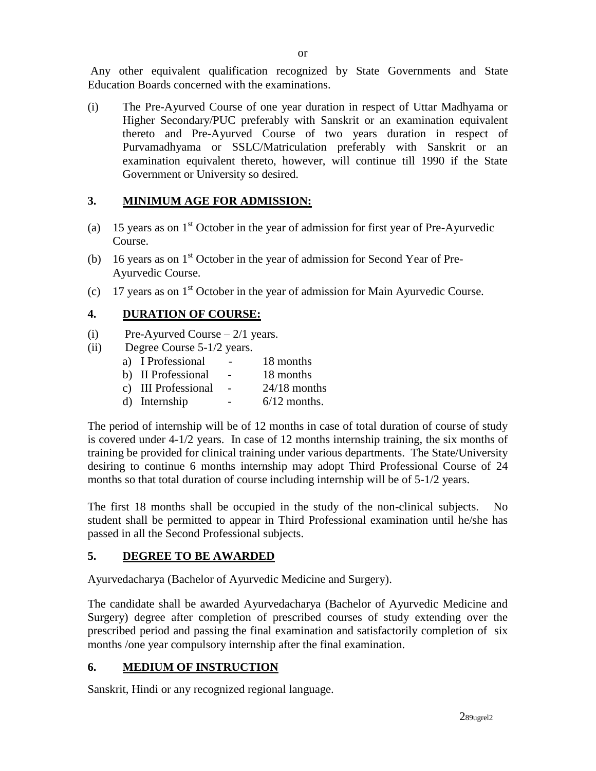Any other equivalent qualification recognized by State Governments and State Education Boards concerned with the examinations.

(i) The Pre-Ayurved Course of one year duration in respect of Uttar Madhyama or Higher Secondary/PUC preferably with Sanskrit or an examination equivalent thereto and Pre-Ayurved Course of two years duration in respect of Purvamadhyama or SSLC/Matriculation preferably with Sanskrit or an examination equivalent thereto, however, will continue till 1990 if the State Government or University so desired.

## **3. MINIMUM AGE FOR ADMISSION:**

- (a) 15 years as on  $1<sup>st</sup>$  October in the year of admission for first year of Pre-Ayurvedic Course.
- (b) 16 years as on  $1<sup>st</sup>$  October in the year of admission for Second Year of Pre-Ayurvedic Course.
- (c) 17 years as on  $1<sup>st</sup>$  October in the year of admission for Main Ayurvedic Course.

# **4. DURATION OF COURSE:**

- (i) Pre-Ayurved Course  $-2/1$  years.
- (ii) Degree Course 5-1/2 years.
	- a) I Professional 18 months
	- b) II Professional 18 months
	- c) III Professional 24/18 months
	- d) Internship  $-6/12$  months.

The period of internship will be of 12 months in case of total duration of course of study is covered under 4-1/2 years. In case of 12 months internship training, the six months of training be provided for clinical training under various departments. The State/University desiring to continue 6 months internship may adopt Third Professional Course of 24 months so that total duration of course including internship will be of 5-1/2 years.

The first 18 months shall be occupied in the study of the non-clinical subjects. No student shall be permitted to appear in Third Professional examination until he/she has passed in all the Second Professional subjects.

# **5. DEGREE TO BE AWARDED**

Ayurvedacharya (Bachelor of Ayurvedic Medicine and Surgery).

The candidate shall be awarded Ayurvedacharya (Bachelor of Ayurvedic Medicine and Surgery) degree after completion of prescribed courses of study extending over the prescribed period and passing the final examination and satisfactorily completion of six months /one year compulsory internship after the final examination.

# **6. MEDIUM OF INSTRUCTION**

Sanskrit, Hindi or any recognized regional language.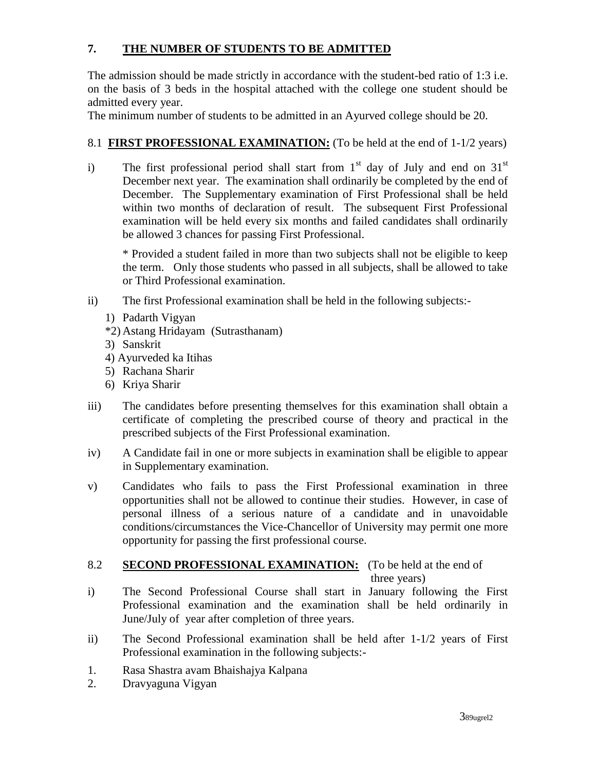# **7. THE NUMBER OF STUDENTS TO BE ADMITTED**

The admission should be made strictly in accordance with the student-bed ratio of 1:3 i.e. on the basis of 3 beds in the hospital attached with the college one student should be admitted every year.

The minimum number of students to be admitted in an Ayurved college should be 20.

#### 8.1 **FIRST PROFESSIONAL EXAMINATION:** (To be held at the end of 1-1/2 years)

i) The first professional period shall start from  $1<sup>st</sup>$  day of July and end on  $31<sup>st</sup>$ December next year. The examination shall ordinarily be completed by the end of December. The Supplementary examination of First Professional shall be held within two months of declaration of result. The subsequent First Professional examination will be held every six months and failed candidates shall ordinarily be allowed 3 chances for passing First Professional.

\* Provided a student failed in more than two subjects shall not be eligible to keep the term. Only those students who passed in all subjects, shall be allowed to take or Third Professional examination.

- ii) The first Professional examination shall be held in the following subjects:-
	- 1) Padarth Vigyan
	- \*2) Astang Hridayam (Sutrasthanam)
	- 3) Sanskrit
	- 4) Ayurveded ka Itihas
	- 5) Rachana Sharir
	- 6) Kriya Sharir
- iii) The candidates before presenting themselves for this examination shall obtain a certificate of completing the prescribed course of theory and practical in the prescribed subjects of the First Professional examination.
- iv) A Candidate fail in one or more subjects in examination shall be eligible to appear in Supplementary examination.
- v) Candidates who fails to pass the First Professional examination in three opportunities shall not be allowed to continue their studies. However, in case of personal illness of a serious nature of a candidate and in unavoidable conditions/circumstances the Vice-Chancellor of University may permit one more opportunity for passing the first professional course.

#### 8.2 **SECOND PROFESSIONAL EXAMINATION:** (To be held at the end of three years)

- i) The Second Professional Course shall start in January following the First Professional examination and the examination shall be held ordinarily in June/July of year after completion of three years.
- ii) The Second Professional examination shall be held after 1-1/2 years of First Professional examination in the following subjects:-
- 1. Rasa Shastra avam Bhaishajya Kalpana
- 2. Dravyaguna Vigyan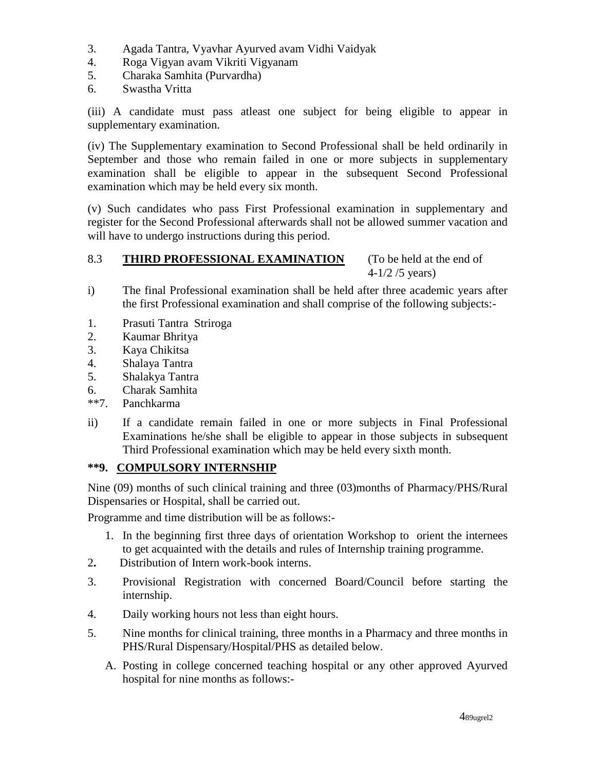- 3. Agada Tantra, Vyavhar Ayurved avam Vidhi Vaidyak
- 4. Roga Vigyan avam Vikriti Vigyanam
- 5. Charaka Samhita (Purvardha)
- 6. Swastha Vritta

(iii) A candidate must pass atleast one subject for being eligible to appear in supplementary examination.

(iv) The Supplementary examination to Second Professional shall be held ordinarily in September and those who remain failed in one or more subjects in supplementary examination shall be eligible to appear in the subsequent Second Professional examination which may be held every six month.

(v) Such candidates who pass First Professional examination in supplementary and register for the Second Professional afterwards shall not be allowed summer vacation and will have to undergo instructions during this period.

# 8.3 **THIRD PROFESSIONAL EXAMINATION** (To be held at the end of

4-1/2 /5 years)

- i) The final Professional examination shall be held after three academic years after the first Professional examination and shall comprise of the following subjects:-
- 1. Prasuti Tantra Striroga
- 2. Kaumar Bhritya
- 3. Kaya Chikitsa
- 4. Shalaya Tantra
- 5. Shalakya Tantra
- 6. Charak Samhita
- \*\*7. Panchkarma
- ii) If a candidate remain failed in one or more subjects in Final Professional Examinations he/she shall be eligible to appear in those subjects in subsequent Third Professional examination which may be held every sixth month.

#### **\*\*9. COMPULSORY INTERNSHIP**

Nine (09) months of such clinical training and three (03)months of Pharmacy/PHS/Rural Dispensaries or Hospital, shall be carried out.

Programme and time distribution will be as follows:-

- 1. In the beginning first three days of orientation Workshop to orient the internees to get acquainted with the details and rules of Internship training programme.
- 2**.** Distribution of Intern work-book interns.
- 3. Provisional Registration with concerned Board/Council before starting the internship.
- 4. Daily working hours not less than eight hours.
- 5. Nine months for clinical training, three months in a Pharmacy and three months in PHS/Rural Dispensary/Hospital/PHS as detailed below.
	- A. Posting in college concerned teaching hospital or any other approved Ayurved hospital for nine months as follows:-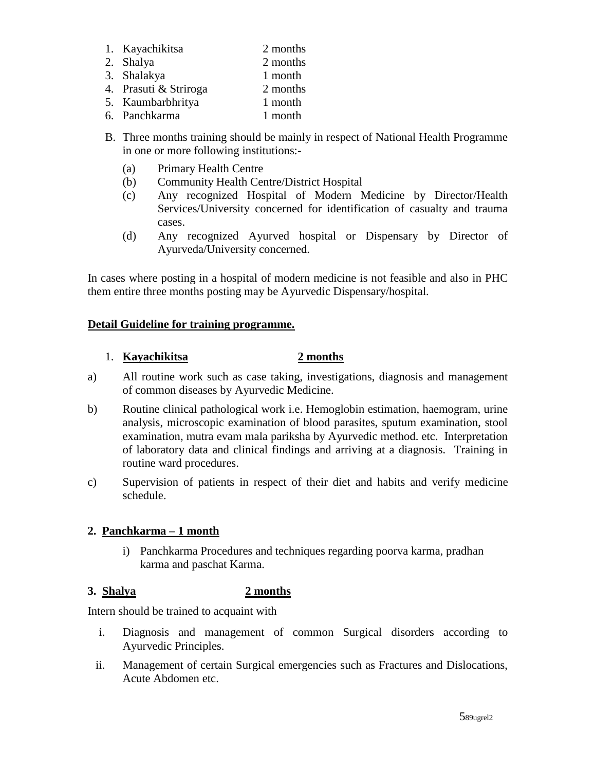- 1. Kayachikitsa 2 months
- 2. Shalya 2 months
- 3. Shalakya 1 month
- 4. Prasuti & Striroga 2 months
- 5. Kaumbarbhritya 1 month
- 6. Panchkarma 1 month
- B. Three months training should be mainly in respect of National Health Programme in one or more following institutions:-
	- (a) Primary Health Centre
	- (b) Community Health Centre/District Hospital
	- (c) Any recognized Hospital of Modern Medicine by Director/Health Services/University concerned for identification of casualty and trauma cases.
	- (d) Any recognized Ayurved hospital or Dispensary by Director of Ayurveda/University concerned.

In cases where posting in a hospital of modern medicine is not feasible and also in PHC them entire three months posting may be Ayurvedic Dispensary/hospital.

# **Detail Guideline for training programme.**

# 1. **Kayachikitsa 2 months**

- a) All routine work such as case taking, investigations, diagnosis and management of common diseases by Ayurvedic Medicine.
- b) Routine clinical pathological work i.e. Hemoglobin estimation, haemogram, urine analysis, microscopic examination of blood parasites, sputum examination, stool examination, mutra evam mala pariksha by Ayurvedic method. etc. Interpretation of laboratory data and clinical findings and arriving at a diagnosis. Training in routine ward procedures.
- c) Supervision of patients in respect of their diet and habits and verify medicine schedule.

# **2. Panchkarma – 1 month**

i) Panchkarma Procedures and techniques regarding poorva karma, pradhan karma and paschat Karma.

# **3. Shalya 2 months**

Intern should be trained to acquaint with

- i. Diagnosis and management of common Surgical disorders according to Ayurvedic Principles.
- ii. Management of certain Surgical emergencies such as Fractures and Dislocations, Acute Abdomen etc.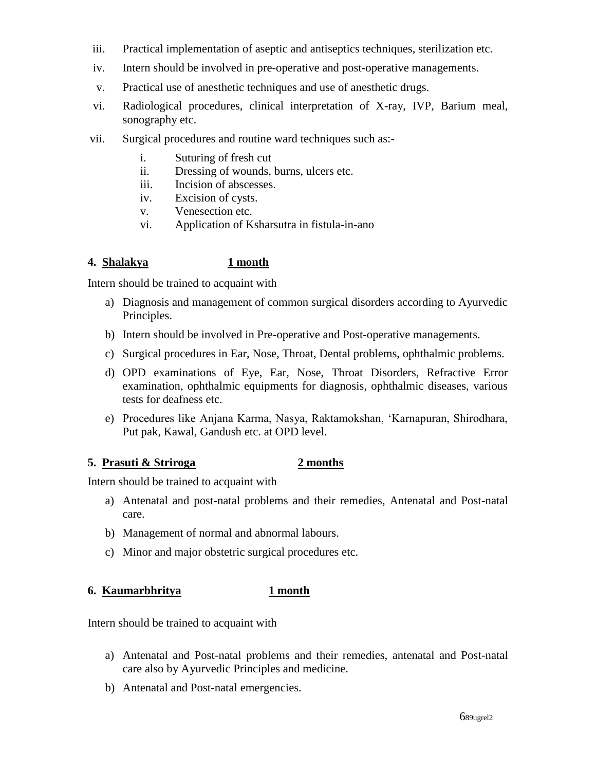- iii. Practical implementation of aseptic and antiseptics techniques, sterilization etc.
- iv. Intern should be involved in pre-operative and post-operative managements.
- v. Practical use of anesthetic techniques and use of anesthetic drugs.
- vi. Radiological procedures, clinical interpretation of X-ray, IVP, Barium meal, sonography etc.
- vii. Surgical procedures and routine ward techniques such as:
	- i. Suturing of fresh cut
	- ii. Dressing of wounds, burns, ulcers etc.
	- iii. Incision of abscesses.
	- iv. Excision of cysts.
	- v. Venesection etc.
	- vi. Application of Ksharsutra in fistula-in-ano

#### **4. Shalakya 1 month**

Intern should be trained to acquaint with

- a) Diagnosis and management of common surgical disorders according to Ayurvedic Principles.
- b) Intern should be involved in Pre-operative and Post-operative managements.
- c) Surgical procedures in Ear, Nose, Throat, Dental problems, ophthalmic problems.
- d) OPD examinations of Eye, Ear, Nose, Throat Disorders, Refractive Error examination, ophthalmic equipments for diagnosis, ophthalmic diseases, various tests for deafness etc.
- e) Procedures like Anjana Karma, Nasya, Raktamokshan, 'Karnapuran, Shirodhara, Put pak, Kawal, Gandush etc. at OPD level.

#### **5. Prasuti & Striroga 2 months**

Intern should be trained to acquaint with

- a) Antenatal and post-natal problems and their remedies, Antenatal and Post-natal care.
- b) Management of normal and abnormal labours.
- c) Minor and major obstetric surgical procedures etc.

#### **6. Kaumarbhritya 1 month**

Intern should be trained to acquaint with

- a) Antenatal and Post-natal problems and their remedies, antenatal and Post-natal care also by Ayurvedic Principles and medicine.
- b) Antenatal and Post-natal emergencies.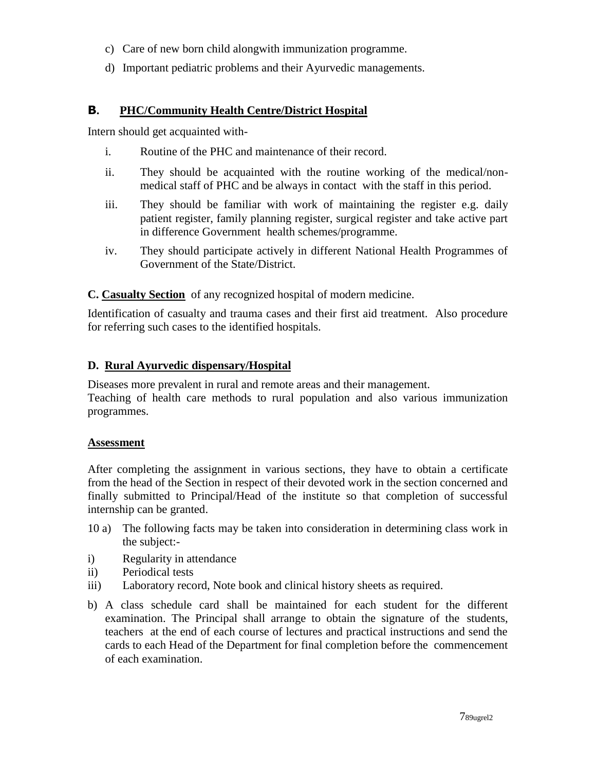- c) Care of new born child alongwith immunization programme.
- d) Important pediatric problems and their Ayurvedic managements.

#### **B. PHC/Community Health Centre/District Hospital**

Intern should get acquainted with-

- i. Routine of the PHC and maintenance of their record.
- ii. They should be acquainted with the routine working of the medical/nonmedical staff of PHC and be always in contact with the staff in this period.
- iii. They should be familiar with work of maintaining the register e.g. daily patient register, family planning register, surgical register and take active part in difference Government health schemes/programme.
- iv. They should participate actively in different National Health Programmes of Government of the State/District.

**C. Casualty Section** of any recognized hospital of modern medicine.

Identification of casualty and trauma cases and their first aid treatment. Also procedure for referring such cases to the identified hospitals.

#### **D. Rural Ayurvedic dispensary/Hospital**

Diseases more prevalent in rural and remote areas and their management. Teaching of health care methods to rural population and also various immunization programmes.

#### **Assessment**

After completing the assignment in various sections, they have to obtain a certificate from the head of the Section in respect of their devoted work in the section concerned and finally submitted to Principal/Head of the institute so that completion of successful internship can be granted.

- 10 a) The following facts may be taken into consideration in determining class work in the subject:-
- i) Regularity in attendance
- ii) Periodical tests
- iii) Laboratory record, Note book and clinical history sheets as required.
- b) A class schedule card shall be maintained for each student for the different examination. The Principal shall arrange to obtain the signature of the students, teachers at the end of each course of lectures and practical instructions and send the cards to each Head of the Department for final completion before the commencement of each examination.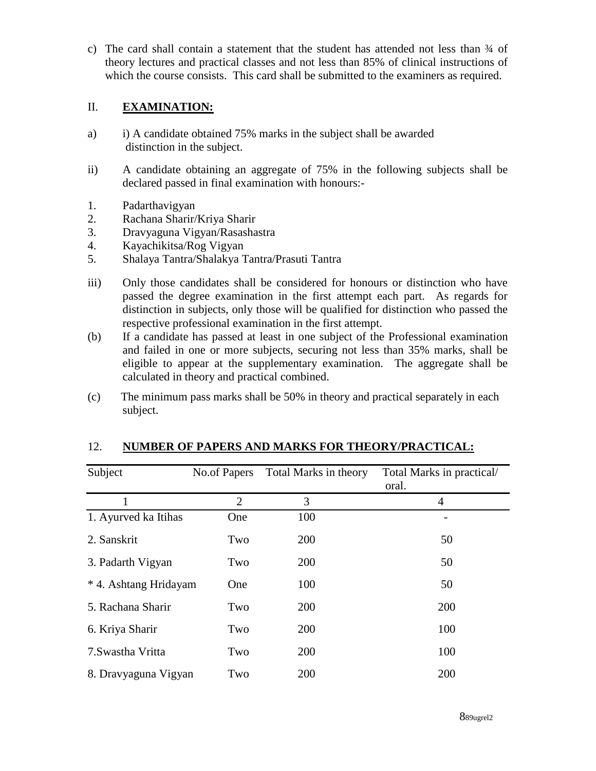c) The card shall contain a statement that the student has attended not less than  $\frac{3}{4}$  of theory lectures and practical classes and not less than 85% of clinical instructions of which the course consists. This card shall be submitted to the examiners as required.

#### II. **EXAMINATION:**

- a) i) A candidate obtained 75% marks in the subject shall be awarded distinction in the subject.
- ii) A candidate obtaining an aggregate of 75% in the following subjects shall be declared passed in final examination with honours:-
- 1. Padarthavigyan
- 2. Rachana Sharir/Kriya Sharir
- 3. Dravyaguna Vigyan/Rasashastra
- 4. Kayachikitsa/Rog Vigyan
- 5. Shalaya Tantra/Shalakya Tantra/Prasuti Tantra
- iii) Only those candidates shall be considered for honours or distinction who have passed the degree examination in the first attempt each part. As regards for distinction in subjects, only those will be qualified for distinction who passed the respective professional examination in the first attempt.
- (b) If a candidate has passed at least in one subject of the Professional examination and failed in one or more subjects, securing not less than 35% marks, shall be eligible to appear at the supplementary examination. The aggregate shall be calculated in theory and practical combined.
- (c) The minimum pass marks shall be 50% in theory and practical separately in each subject.

| Subject               | No.of Papers   | Total Marks in theory | Total Marks in practical/<br>oral. |
|-----------------------|----------------|-----------------------|------------------------------------|
|                       | $\overline{2}$ | 3                     | 4                                  |
| 1. Ayurved ka Itihas  | One            | 100                   |                                    |
| 2. Sanskrit           | Two            | 200                   | 50                                 |
| 3. Padarth Vigyan     | Two            | 200                   | 50                                 |
| * 4. Ashtang Hridayam | One            | 100                   | 50                                 |
| 5. Rachana Sharir     | Two            | 200                   | 200                                |
| 6. Kriya Sharir       | Two            | 200                   | 100                                |
| 7. Swastha Vritta     | Two            | 200                   | 100                                |
| 8. Dravyaguna Vigyan  | Two            | 200                   | 200                                |

### 12. **NUMBER OF PAPERS AND MARKS FOR THEORY/PRACTICAL:**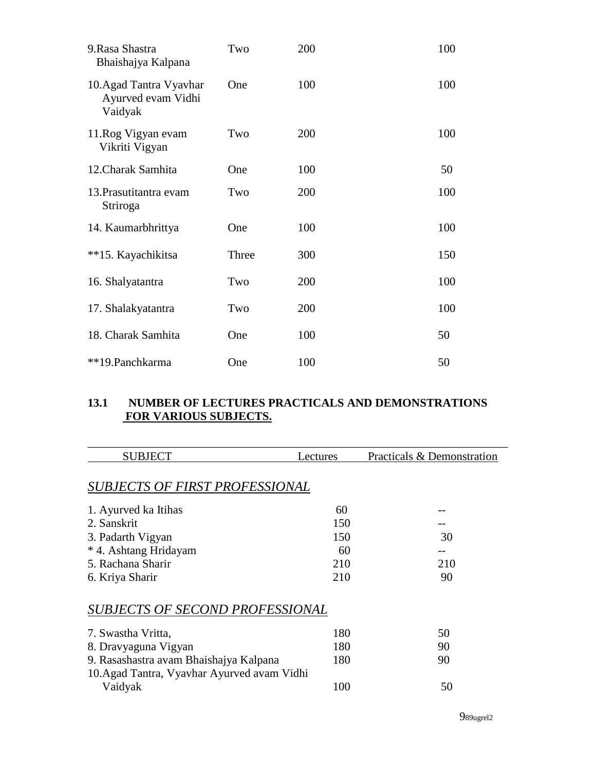| 9. Rasa Shastra<br>Bhaishajya Kalpana                    | Two   | 200 | 100 |
|----------------------------------------------------------|-------|-----|-----|
| 10. Agad Tantra Vyavhar<br>Ayurved evam Vidhi<br>Vaidyak | One   | 100 | 100 |
| 11. Rog Vigyan evam<br>Vikriti Vigyan                    | Two   | 200 | 100 |
| 12. Charak Samhita                                       | One   | 100 | 50  |
| 13. Prasutitantra evam<br>Striroga                       | Two   | 200 | 100 |
| 14. Kaumarbhrittya                                       | One   | 100 | 100 |
| **15. Kayachikitsa                                       | Three | 300 | 150 |
| 16. Shalyatantra                                         | Two   | 200 | 100 |
| 17. Shalakyatantra                                       | Two   | 200 | 100 |
| 18. Charak Samhita                                       | One   | 100 | 50  |
| **19. Panchkarma                                         | One   | 100 | 50  |

# **13.1 NUMBER OF LECTURES PRACTICALS AND DEMONSTRATIONS FOR VARIOUS SUBJECTS.**

| <b>SUBJECT</b>                              | Lectures | Practicals & Demonstration |  |
|---------------------------------------------|----------|----------------------------|--|
|                                             |          |                            |  |
| <b>SUBJECTS OF FIRST PROFESSIONAL</b>       |          |                            |  |
| 1. Ayurved ka Itihas                        | 60       |                            |  |
| 2. Sanskrit                                 | 150      |                            |  |
| 3. Padarth Vigyan                           | 150      | 30                         |  |
| * 4. Ashtang Hridayam                       | 60       |                            |  |
| 5. Rachana Sharir                           | 210      | 210                        |  |
| 6. Kriya Sharir                             | 210      | 90                         |  |
| <b>SUBJECTS OF SECOND PROFESSIONAL</b>      |          |                            |  |
| 7. Swastha Vritta,                          | 180      | 50                         |  |
| 8. Dravyaguna Vigyan                        | 180      | 90                         |  |
| 9. Rasashastra avam Bhaishajya Kalpana      | 180      | 90                         |  |
| 10. Agad Tantra, Vyavhar Ayurved avam Vidhi |          |                            |  |
| Vaidyak                                     | 100      | 50                         |  |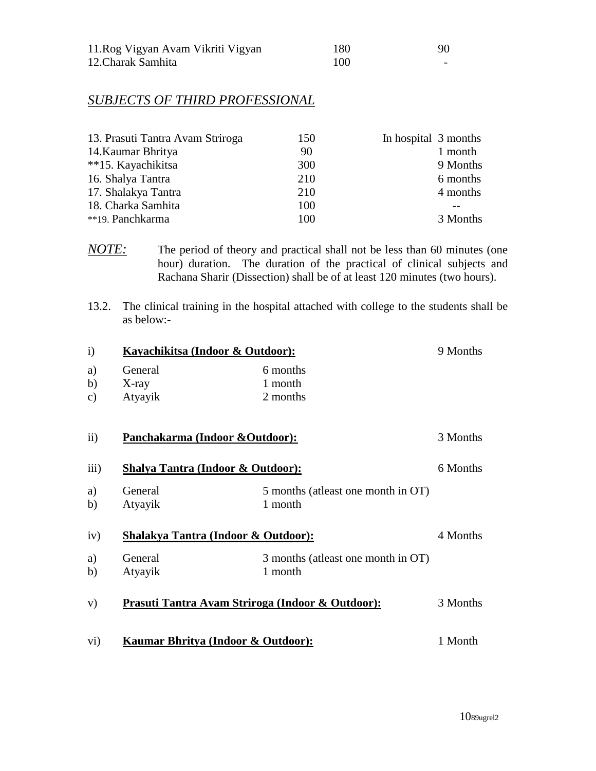| 11. Rog Vigyan Avam Vikriti Vigyan | 180 | 90                       |
|------------------------------------|-----|--------------------------|
| 12. Charak Samhita                 | 100 | $\overline{\phantom{0}}$ |

## *SUBJECTS OF THIRD PROFESSIONAL*

| 13. Prasuti Tantra Avam Striroga | 150 | In hospital 3 months |
|----------------------------------|-----|----------------------|
| 14. Kaumar Bhritya               | 90  | 1 month              |
| **15. Kayachikitsa               | 300 | 9 Months             |
| 16. Shalya Tantra                | 210 | 6 months             |
| 17. Shalakya Tantra              | 210 | 4 months             |
| 18. Charka Samhita               | 100 |                      |
| **19. Panchkarma                 | 100 | 3 Months             |

*NOTE:* The period of theory and practical shall not be less than 60 minutes (one hour) duration. The duration of the practical of clinical subjects and Rachana Sharir (Dissection) shall be of at least 120 minutes (two hours).

13.2. The clinical training in the hospital attached with college to the students shall be as below:-

| $\mathbf{i}$   | Kayachikitsa (Indoor & Outdoor):                             |                                                | 9 Months |
|----------------|--------------------------------------------------------------|------------------------------------------------|----------|
| a)<br>b)<br>c) | General<br>X-ray<br>Atyayik                                  | 6 months<br>1 month<br>2 months                |          |
| $\rm ii)$      | Panchakarma (Indoor & Outdoor):                              |                                                | 3 Months |
| iii)           | Shalya Tantra (Indoor & Outdoor):                            |                                                | 6 Months |
| a)<br>b)       | General<br>Atyayik                                           | 5 months (at least one month in OT)<br>1 month |          |
| iv)            | <b>Shalakya Tantra (Indoor &amp; Outdoor):</b>               |                                                | 4 Months |
| a)<br>b)       | General<br>Atyayik                                           | 3 months (at least one month in OT)<br>1 month |          |
| V)             | <u> Prasuti Tantra Avam Striroga (Indoor &amp; Outdoor):</u> |                                                | 3 Months |
| $\rm vi)$      | Kaumar Bhritya (Indoor & Outdoor):                           |                                                | 1 Month  |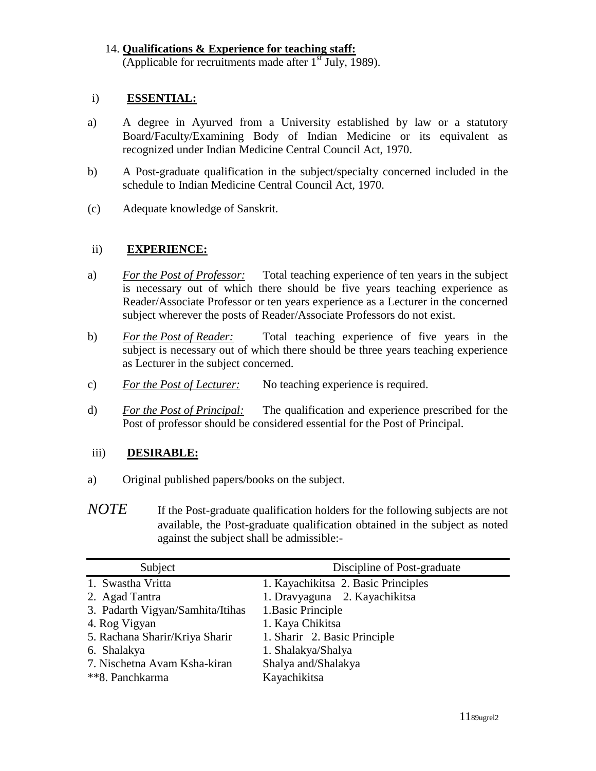14. **Qualifications & Experience for teaching staff:** (Applicable for recruitments made after  $1<sup>st</sup>$  July, 1989).

#### i) **ESSENTIAL:**

- a) A degree in Ayurved from a University established by law or a statutory Board/Faculty/Examining Body of Indian Medicine or its equivalent as recognized under Indian Medicine Central Council Act, 1970.
- b) A Post-graduate qualification in the subject/specialty concerned included in the schedule to Indian Medicine Central Council Act, 1970.
- (c) Adequate knowledge of Sanskrit.

#### ii) **EXPERIENCE:**

- a) *For the Post of Professor:* Total teaching experience of ten years in the subject is necessary out of which there should be five years teaching experience as Reader/Associate Professor or ten years experience as a Lecturer in the concerned subject wherever the posts of Reader/Associate Professors do not exist.
- b) *For the Post of Reader:* Total teaching experience of five years in the subject is necessary out of which there should be three years teaching experience as Lecturer in the subject concerned.
- c) *For the Post of Lecturer:* No teaching experience is required.
- d) *For the Post of Principal:* The qualification and experience prescribed for the Post of professor should be considered essential for the Post of Principal.

#### iii) **DESIRABLE:**

- a) Original published papers/books on the subject.
- *NOTE* If the Post-graduate qualification holders for the following subjects are not available, the Post-graduate qualification obtained in the subject as noted against the subject shall be admissible:-

| Subject                          | Discipline of Post-graduate         |
|----------------------------------|-------------------------------------|
| 1. Swastha Vritta                | 1. Kayachikitsa 2. Basic Principles |
| 2. Agad Tantra                   | 1. Dravyaguna 2. Kayachikitsa       |
| 3. Padarth Vigyan/Samhita/Itihas | 1. Basic Principle                  |
| 4. Rog Vigyan                    | 1. Kaya Chikitsa                    |
| 5. Rachana Sharir/Kriya Sharir   | 1. Sharir 2. Basic Principle        |
| 6. Shalakya                      | 1. Shalakya/Shalya                  |
| 7. Nischetna Avam Ksha-kiran     | Shalya and/Shalakya                 |
| **8. Panchkarma                  | Kayachikitsa                        |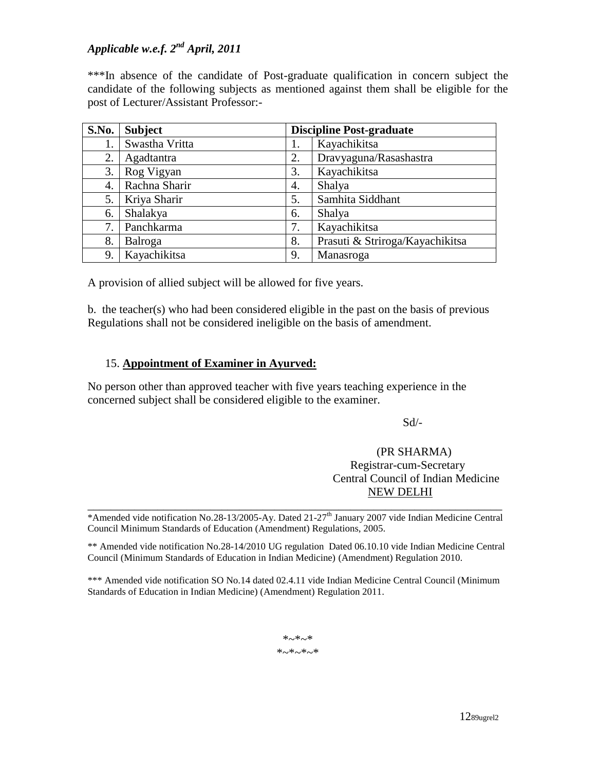# *Applicable w.e.f. 2nd April, 2011*

\*\*\*In absence of the candidate of Post-graduate qualification in concern subject the candidate of the following subjects as mentioned against them shall be eligible for the post of Lecturer/Assistant Professor:-

| S.No. | <b>Subject</b> | <b>Discipline Post-graduate</b> |                                 |
|-------|----------------|---------------------------------|---------------------------------|
| 1.    | Swastha Vritta |                                 | Kayachikitsa                    |
| 2.    | Agadtantra     | 2.                              | Dravyaguna/Rasashastra          |
| 3.    | Rog Vigyan     | 3.                              | Kayachikitsa                    |
| 4.    | Rachna Sharir  | 4.                              | Shalya                          |
| 5.    | Kriya Sharir   | 5.                              | Samhita Siddhant                |
| 6.    | Shalakya       | 6.                              | Shalya                          |
| 7.    | Panchkarma     | 7.                              | Kayachikitsa                    |
| 8.    | Balroga        | 8.                              | Prasuti & Striroga/Kayachikitsa |
| 9.    | Kayachikitsa   | 9.                              | Manasroga                       |

A provision of allied subject will be allowed for five years.

b. the teacher(s) who had been considered eligible in the past on the basis of previous Regulations shall not be considered ineligible on the basis of amendment.

#### 15. **Appointment of Examiner in Ayurved:**

No person other than approved teacher with five years teaching experience in the concerned subject shall be considered eligible to the examiner.

Sd/-

#### (PR SHARMA) Registrar-cum-Secretary Central Council of Indian Medicine NEW DELHI

\_\_\_\_\_\_\_\_\_\_\_\_\_\_\_\_\_\_\_\_\_\_\_\_\_\_\_\_\_\_\_\_\_\_\_\_\_\_\_\_\_\_\_\_\_\_\_\_\_\_\_\_\_\_\_\_\_\_\_\_\_\_\_\_\_\_\_\_\_\_\_ \*Amended vide notification No.28-13/2005-Ay. Dated 21-27<sup>th</sup> January 2007 vide Indian Medicine Central Council Minimum Standards of Education (Amendment) Regulations, 2005.

\*\* Amended vide notification No.28-14/2010 UG regulation Dated 06.10.10 vide Indian Medicine Central Council (Minimum Standards of Education in Indian Medicine) (Amendment) Regulation 2010.

\*\*\* Amended vide notification SO No.14 dated 02.4.11 vide Indian Medicine Central Council (Minimum Standards of Education in Indian Medicine) (Amendment) Regulation 2011.